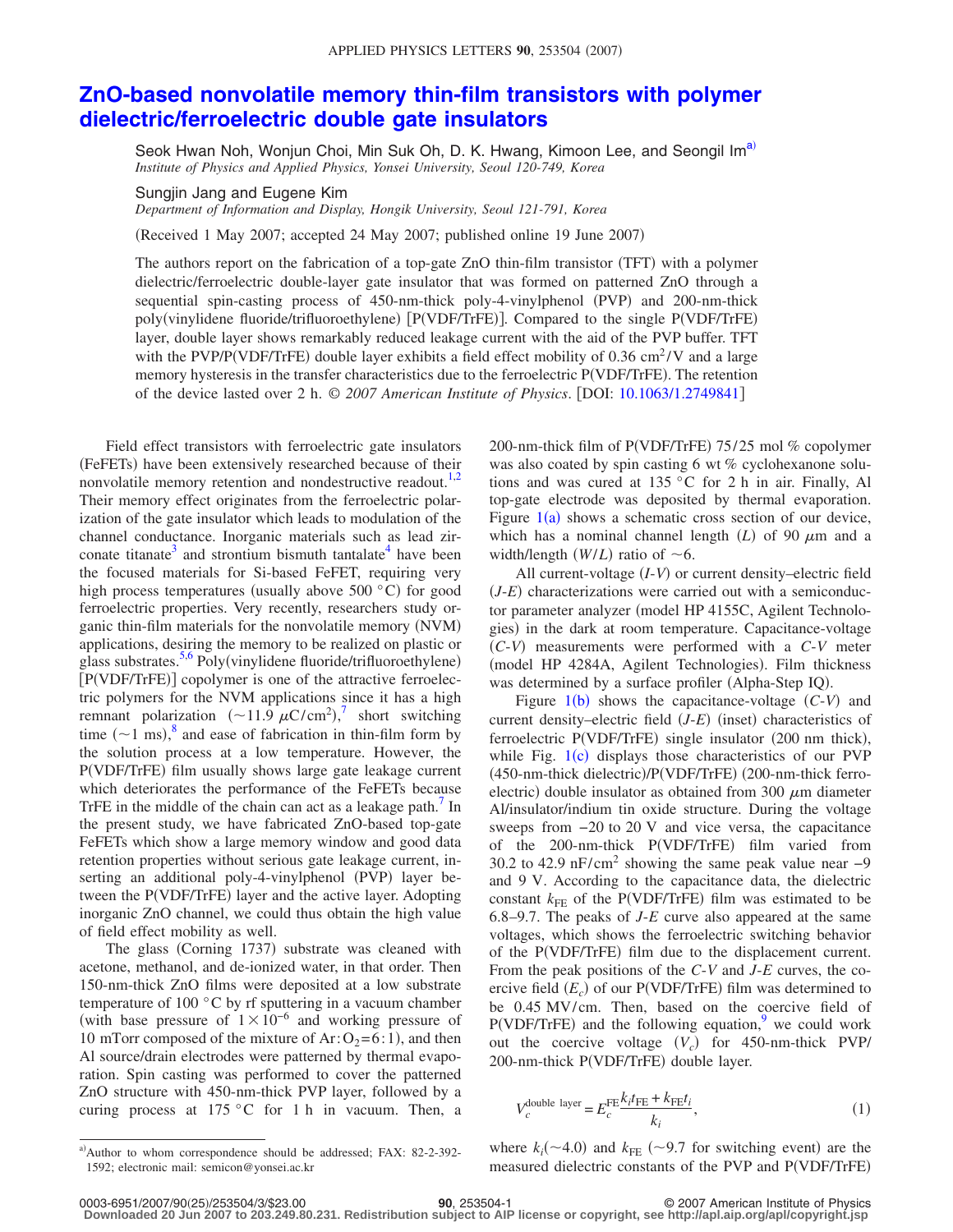## **[ZnO-based nonvolatile memory thin-film transistors with polymer](http://dx.doi.org/10.1063/1.2749841) [dielectric/ferroelectric double gate insulators](http://dx.doi.org/10.1063/1.2749841)**

Seok Hwan Noh, Wonjun Choi, Min Suk Oh, D. K. Hwang, Kimoon Lee, and Seongil Im<sup>a)</sup> *Institute of Physics and Applied Physics, Yonsei University, Seoul 120-749, Korea*

Sungjin Jang and Eugene Kim

*Department of Information and Display, Hongik University, Seoul 121-791, Korea*

Received 1 May 2007; accepted 24 May 2007; published online 19 June 2007-

The authors report on the fabrication of a top-gate ZnO thin-film transistor (TFT) with a polymer dielectric/ferroelectric double-layer gate insulator that was formed on patterned ZnO through a sequential spin-casting process of 450-nm-thick poly-4-vinylphenol (PVP) and 200-nm-thick poly(vinylidene fluoride/trifluoroethylene) [P(VDF/TrFE)]. Compared to the single P(VDF/TrFE) layer, double layer shows remarkably reduced leakage current with the aid of the PVP buffer. TFT with the PVP/P(VDF/TrFE) double layer exhibits a field effect mobility of 0.36 cm<sup>2</sup>/V and a large memory hysteresis in the transfer characteristics due to the ferroelectric P(VDF/TrFE). The retention of the device lasted over 2 h. © *2007 American Institute of Physics*. DOI: [10.1063/1.2749841](http://dx.doi.org/10.1063/1.2749841)

Field effect transistors with ferroelectric gate insulators (FeFETs) have been extensively researched because of their nonvolatile memory retention and nondestructive readout.<sup>1[,2](#page-2-1)</sup> Their memory effect originates from the ferroelectric polarization of the gate insulator which leads to modulation of the channel conductance. Inorganic materials such as lead zirconate titanate<sup>3</sup> and strontium bismuth tantalate<sup>4</sup> have been the focused materials for Si-based FeFET, requiring very high process temperatures (usually above  $500 °C$ ) for good ferroelectric properties. Very recently, researchers study organic thin-film materials for the nonvolatile memory (NVM) applications, desiring the memory to be realized on plastic or glass substrates.<sup>5,[6](#page-2-5)</sup> Poly(vinylidene fluoride/trifluoroethylene) [P(VDF/TrFE)] copolymer is one of the attractive ferroelectric polymers for the NVM applications since it has a high remnant polarization  $({\sim}11.9 \mu C/cm^2)$ , short switching time  $({\sim}1$  ms),<sup>[8](#page-2-7)</sup> and ease of fabrication in thin-film form by the solution process at a low temperature. However, the P(VDF/TrFE) film usually shows large gate leakage current which deteriorates the performance of the FeFETs because TrFE in the middle of the chain can act as a leakage path. $<sup>7</sup>$  In</sup> the present study, we have fabricated ZnO-based top-gate FeFETs which show a large memory window and good data retention properties without serious gate leakage current, inserting an additional poly-4-vinylphenol (PVP) layer between the P(VDF/TrFE) layer and the active layer. Adopting inorganic ZnO channel, we could thus obtain the high value of field effect mobility as well.

The glass (Corning 1737) substrate was cleaned with acetone, methanol, and de-ionized water, in that order. Then 150-nm-thick ZnO films were deposited at a low substrate temperature of 100 °C by rf sputtering in a vacuum chamber (with base pressure of  $1 \times 10^{-6}$  and working pressure of 10 mTorr composed of the mixture of  $Ar: O_2 = 6:1$ ), and then Al source/drain electrodes were patterned by thermal evaporation. Spin casting was performed to cover the patterned ZnO structure with 450-nm-thick PVP layer, followed by a curing process at 175 °C for 1 h in vacuum. Then, a

200-nm-thick film of P(VDF/TrFE) 75/25 mol % copolymer was also coated by spin casting 6 wt % cyclohexanone solutions and was cured at 135 °C for 2 h in air. Finally, Al top-gate electrode was deposited by thermal evaporation. Figure  $1(a)$  $1(a)$  shows a schematic cross section of our device, which has a nominal channel length  $(L)$  of 90  $\mu$ m and a width/length  $(W/L)$  ratio of  $\sim 6$ .

All current-voltage (I-V) or current density–electric field  $(J-E)$  characterizations were carried out with a semiconductor parameter analyzer (model HP 4155C, Agilent Technologies) in the dark at room temperature. Capacitance-voltage *C*-*V*- measurements were performed with a *C*-*V* meter (model HP 4284A, Agilent Technologies). Film thickness was determined by a surface profiler (Alpha-Step IQ).

Figure  $1(b)$  $1(b)$  shows the capacitance-voltage  $(C-V)$  and current density–electric field (*J-E*) (inset) characteristics of ferroelectric P(VDF/TrFE) single insulator (200 nm thick), while Fig. [1](#page-1-0)(c) displays those characteristics of our PVP (450-nm-thick dielectric)/P(VDF/TrFE) (200-nm-thick ferroelectric) double insulator as obtained from 300  $\mu$ m diameter Al/insulator/indium tin oxide structure. During the voltage sweeps from −20 to 20 V and vice versa, the capacitance of the 200-nm-thick P(VDF/TrFE) film varied from 30.2 to 42.9 nF/cm<sup>2</sup> showing the same peak value near  $-9$ and 9 V. According to the capacitance data, the dielectric constant  $k_{FE}$  of the P(VDF/TrFE) film was estimated to be 6.8–9.7. The peaks of *J*-*E* curve also appeared at the same voltages, which shows the ferroelectric switching behavior of the P(VDF/TrFE) film due to the displacement current. From the peak positions of the *C*-*V* and *J*-*E* curves, the coercive field  $(E_c)$  of our P(VDF/TrFE) film was determined to be 0.45 MV/cm. Then, based on the coercive field of  $P(VDF/TrFE)$  and the following equation,<sup>9</sup> we could work out the coercive voltage  $(V_c)$  for 450-nm-thick PVP/ 200-nm-thick P(VDF/TrFE) double layer.

$$
V_c^{\text{double layer}} = E_c^{\text{FE}} \frac{k_i t_{\text{FE}} + k_{\text{FE}} t_i}{k_i},\tag{1}
$$

where  $k_i(\sim 4.0)$  and  $k_{FE}$  ( $\sim 9.7$  for switching event) are the measured dielectric constants of the PVP and P(VDF/TrFE)

<span id="page-0-0"></span>a)Author to whom correspondence should be addressed; FAX: 82-2-392-1592; electronic mail: semicon@yonsei.ac.kr

<sup>25</sup>/253504/3/\$23.00 © 2007 American Institute of Physics **90**, 253504-1 **Downloaded 20 Jun 2007 to 203.249.80.231. Redistribution subject to AIP license or copyright, see http://apl.aip.org/apl/copyright.jsp**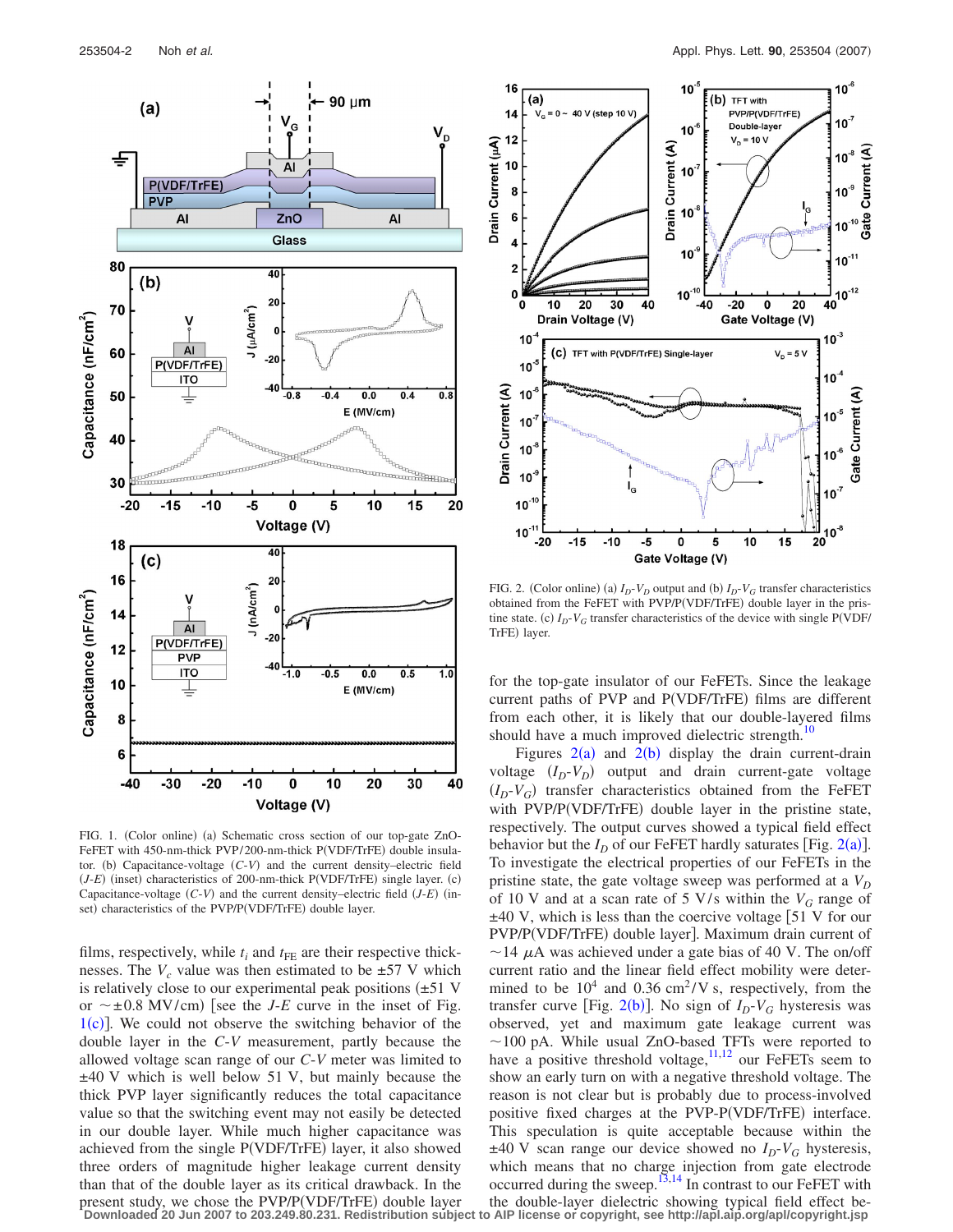<span id="page-1-0"></span>

FIG. 1. (Color online) (a) Schematic cross section of our top-gate ZnO-FeFET with 450-nm-thick PVP/200-nm-thick P(VDF/TrFE) double insulator. (b) Capacitance-voltage  $(C-V)$  and the current density–electric field (*J-E*) (inset) characteristics of 200-nm-thick P(VDF/TrFE) single layer. (c) Capacitance-voltage (C-V) and the current density–electric field (*J-E*) (inset) characteristics of the PVP/P(VDF/TrFE) double layer.

films, respectively, while  $t_i$  and  $t_{FE}$  are their respective thicknesses. The  $V_c$  value was then estimated to be  $\pm 57$  V which is relatively close to our experimental peak positions  $(\pm 51 \text{ V})$ or  $\sim \pm 0.8$  MV/cm) [see the *J-E* curve in the inset of Fig.  $1(c)$  $1(c)$ ]. We could not observe the switching behavior of the double layer in the *C*-*V* measurement, partly because the allowed voltage scan range of our *C*-*V* meter was limited to ±40 V which is well below 51 V, but mainly because the thick PVP layer significantly reduces the total capacitance value so that the switching event may not easily be detected in our double layer. While much higher capacitance was achieved from the single P(VDF/TrFE) layer, it also showed three orders of magnitude higher leakage current density than that of the double layer as its critical drawback. In the present study, we chose the PVP/P(VDF/TrFE) double layer

<span id="page-1-1"></span>

FIG. 2. (Color online) (a)  $I_D$ - $V_D$  output and (b)  $I_D$ - $V_G$  transfer characteristics obtained from the FeFET with PVP/P(VDF/TrFE) double layer in the pristine state. (c)  $I_D$ - $V_G$  transfer characteristics of the device with single P(VDF/ TrFE) layer.

for the top-gate insulator of our FeFETs. Since the leakage current paths of PVP and P(VDF/TrFE) films are different from each other, it is likely that our double-layered films should have a much improved dielectric strength.<sup>10</sup>

Figures  $2(a)$  $2(a)$  and  $2(b)$  display the drain current-drain voltage  $(I_D - V_D)$  output and drain current-gate voltage  $(I_D - V_G)$  transfer characteristics obtained from the FeFET with PVP/P(VDF/TrFE) double layer in the pristine state, respectively. The output curves showed a typical field effect behavior but the  $I_D$  of our FeFET hardly saturates [Fig. [2](#page-1-1)(a)]. To investigate the electrical properties of our FeFETs in the pristine state, the gate voltage sweep was performed at a  $V_D$ of 10 V and at a scan rate of 5 V/s within the  $V_G$  range of  $\pm$ 40 V, which is less than the coercive voltage [51 V for our PVP/P(VDF/TrFE) double layer]. Maximum drain current of  $\sim$  14  $\mu$ A was achieved under a gate bias of 40 V. The on/off current ratio and the linear field effect mobility were determined to be  $10^4$  and 0.36 cm<sup>2</sup>/V s, respectively, from the transfer curve [Fig.  $2(b)$  $2(b)$ ]. No sign of  $I_D-V_G$  hysteresis was observed, yet and maximum gate leakage current was  $\sim$ 100 pA. While usual ZnO-based TFTs were reported to have a positive threshold voltage,  $11,12$  $11,12$  our FeFETs seem to show an early turn on with a negative threshold voltage. The reason is not clear but is probably due to process-involved positive fixed charges at the PVP-P(VDF/TrFE) interface. This speculation is quite acceptable because within the  $\pm 40$  V scan range our device showed no  $I_D-V_G$  hysteresis, which means that no charge injection from gate electrode occurred during the sweep.<sup>13[,14](#page-2-13)</sup> In contrast to our FeFET with the double-layer dielectric showing typical field effect be-**Downloaded 20 Jun 2007 to 203.249.80.231. Redistribution subject to AIP license or copyright, see http://apl.aip.org/apl/copyright.jsp**